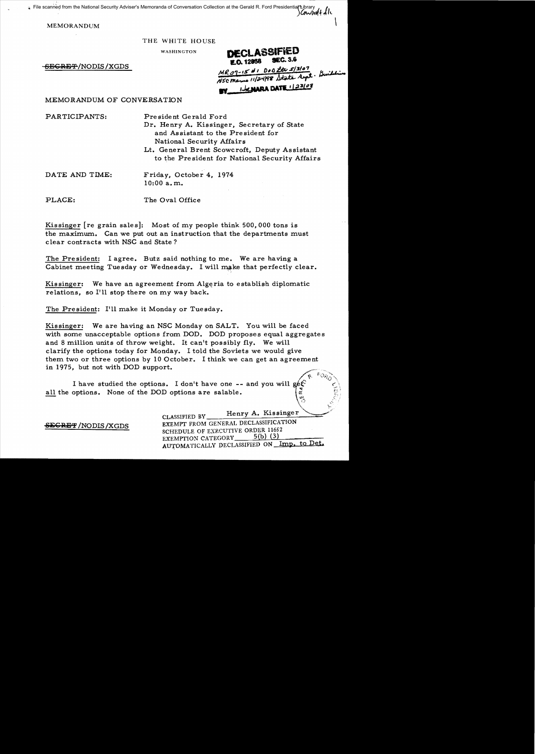File scanned from the National Security Adviser's Memoranda of Conversation Collection at the Gerald R. Ford Presidential Library<br>Cowmat file

MEMORANDUM

THE WHITE HOUSE

WASHINGTON

**SECRET**/NODIS/XGDS

**DECLASSIFIED SEC. 3.6 E.O.** 12058  $MRO1-15 d1 0000005/3107$ MR 07-15 #1 DOO Lte 5/3101<br>NSC Marno 11/24/98 State Rept. Building 1 Je NARA DATE 123/08

MEMORANDUM OF CONVERSATION

PARTICIPANTS: President Gerald Ford

Dr. Henry A. Kissinger, Secretary of State and Assistant to the President for National Security Affairs

Lt. General Brent Scowcroft, Deputy Assistant to the President for National Security Affairs

DATE AND TIME: Friday, October 4, 1974 10:00 a. m.

PLACE: The Oval Office

Kissinger [re grain sales]: Most of my people think 500, 000 tons is the maximum. Can we put out an instruction that the departments must clear contracts with NSC and State?

The President: I agree. Butz said nothing to me. We are having a Cabinet meeting Tuesday or Wednesday. I will make that perfectly clear.

Kissinger: We have an agreement from Algeria to establish diplomatic relations, so I'll stop there on my way back.

The President: I'll make it Monday or Tuesday.

Kissinger: We are having an NSC Monday on SALT. You will be faced with some unacceptable options from DOD. DOD proposes equal aggregates and 8 million units of throw weight. It can't possibly fly. We will clarify the options today for Monday. I told the Soviets we would give them two or three options by 10 October. I think we can get an agreement in 1975, but not with DOD support.

I have studied the options. I don't have one -- and you will gét all the options. None of the DOD options are salable.

CLASSIFIED BY Henry A. Kissinger **SECRET** /NODIS /XGDS EXEMPT FROM GENERAL DECLASSIFICATION SCHEDULE OF EXECUTIVE ORDER 11652 EXEMPTION CATEGORY AUTOMATICALLY DECLASSIFIED ON Imp. to Det.

 $\mathcal{L} = \mathcal{L}$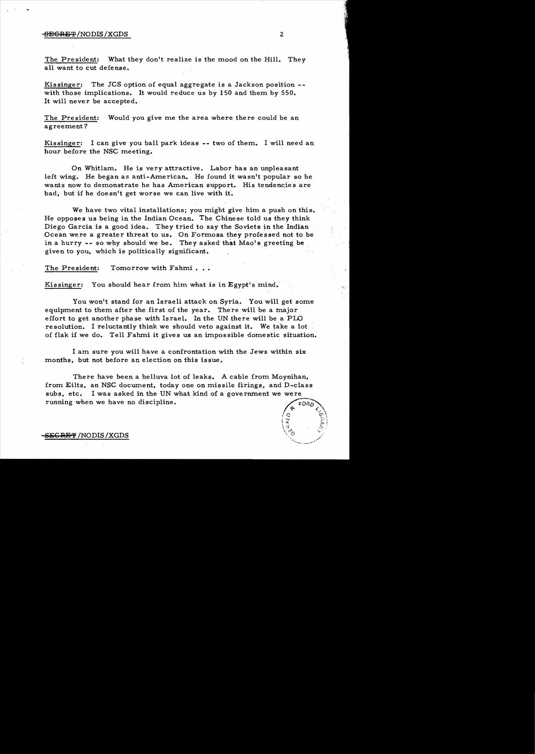## -<del>SECRET</del>/NODIS/XGDS  $\sim$

The President: What they don't realize is the mood on the Hill. They all want to cut defense.

Kissinger: The JCS option of equal aggregate is a Jackson position -with those implications. It would reduce us by 150 and them by 550. It will never be accepted.

The President: Would you give me the area where there could be an agreement?

Kissinger: I can give you ball park ideas -- two of them. I will need an hour before the NSC meeting.

On Whitlam. He is very attractive. Labor has an unpleasant left wing. He began as anti-American. He found it wasn't popular so he wants now to demonstrate he has American support. His tendencies are bad, but if he doesn't get worse we can live with it.

We have two vital installations; you might give him a push on this. He opposes us being in the Indian Ocean.. The Chinese told us they think Diego Garcia is a good idea. They tried to say the Soviets in the Indian Ocean were a greater threat to us. On Formosa they professed not to be in a hurry  $-$ - so why should we be. They asked that Mao's greeting be. given to *you,* which is politically significant.

The President: Tomorrow with Fahmi...

Kissinger: You should hear from him what is in Egypt's mind.

You won't stand for an Israeli attack on Syria. You will get some equipment to them after the first of the year. There will be a major effort to get another phase with Israel. In the UN there will be a PLO re solution. I reluctantly think we should veto against it. We take a lot of flak if we do. Tell Fahmi it gives us an impossible domestic situation.

I am sure *you* will have a confrontation with the Jews within six months, but not before an election on this issue.

There have been a helluva lot of leaks. A cable from Moynihan, from Eilts, an NSC document, today one on missile firings, and D-class subs, etc. I was asked in the UN what kind of a government we were<br>running when we have no discipline.

 $\sqrt{\circ}$   $\circ$   $\sqrt{\circ}$  $\int_a^b$  $\left( \begin{matrix} \overline{u} & \overline{v} \ \overline{u} & \overline{v} \end{matrix} \right)$  $.1.7.1$  $\sqrt{6}$   $\sqrt{7}$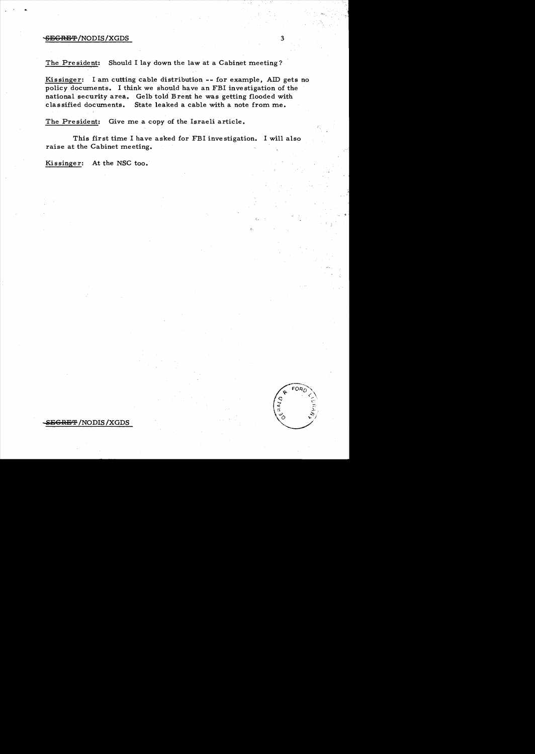## $\overline{\text{SEGRBF}}$  /NODIS /XGDS  $\overline{\text{3}}$

The President: Should I lay down the law at a Cabinet meeting?

Kissinger: I am cutting cable distribution -- for example, AID gets no policy documents. I think we should have an FBI investigation of the national security area. Gelb told Brent he was getting flooded with classified documents. State leaked a cable with a note from me.

The President: Give me a copy of the Israeli article.

This first time I have asked for FBI investigation. I will also raise at the Cabinet meeting.

Kissinger: At the NSC too.

## **EGRET /NODIS /XGDS**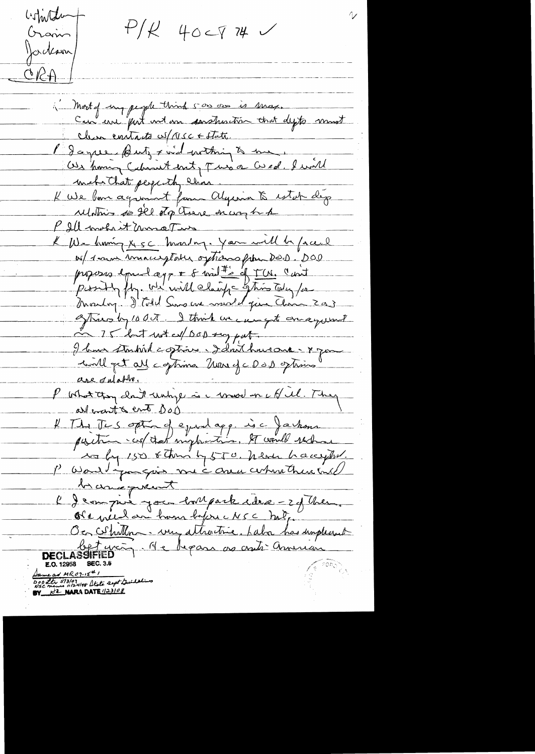Costinter  $f^2/k$ 400774 Crain Jackson  $CRA$ i Mort of my people think 500 000 is max.<br>Can use fut and an anshurtin that dyto must Clean constants us (NSC + state. Bayes Butz & vid withing to me, Us homing Cabinet ent, Tues a Cused, Swill make that peoplethy clina. K We born agreement from Algeria & estat dèg relations to the otop there encarghed P Ill mohait monature K We having x 5C Marting. You will be faced us/ 1 mai vinacie plater ofthe pole DOD. DOD. proposes equileges of sind the of The can't prosintly fly. We will claims to This Teday for Monday. D'Odd Surs en model give China 2003 ghirs by 10 Oct. I think we use get on a guerit a 75 lat uit es/ DOD sug put I have startil a options . I don't have one - x por will get all contrins Unes of c D a D optime" are sulable. P what they don't unique is a move on which They all event & ent Dop K The Tes option of equal app. is a Jackson pesition cos/ that implication. It would rechine 1 was by 150 & then by 550. Where haceyhr. bien prie jou lorspark des 22 Them. Ose peut en homme before NSC met, Oc schatten - my attractive. Labor has implied Cetturin Me bepare as crute american **DECLASS E.O. 12958** Same ad MR07-15th 1<br>Dood tu 573/07<br>NSC menis 11/24198 Atota legt Duidding N NA NARA DATE 123108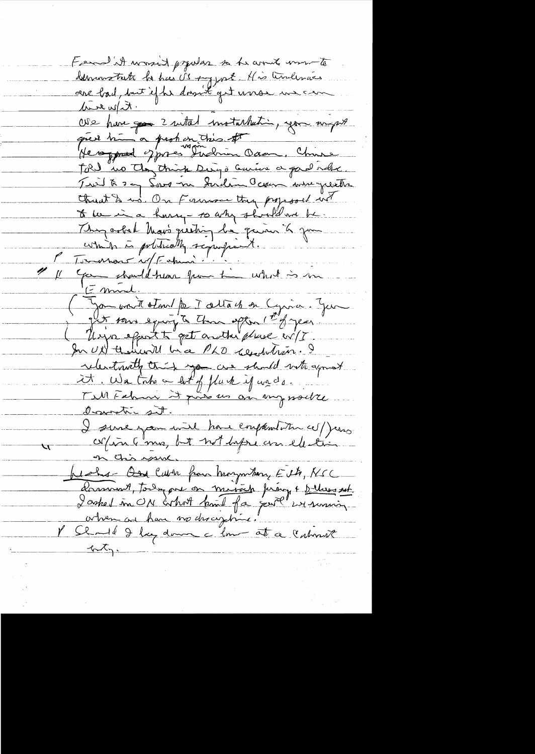Feared it worsed prever so he would want demanstate la has d's sy post Mis Anderais Use here que 2 mitted motarhetin, you might que time a protestat dans l'huis Told no they think Diego Curius a gad rate Twit to 2 an Sour me Suidain Capen donne questre threat & us. On Formore they proposed we to be in a horse- to why should not be. They arbel Mais greeting le game is june comin à politically sepagnist. Transit etnul peut autant en Cyrise. June t sous equipte than optime (2 of year Uija effect to get authorise evit. relentanthe this you are should not agreat Till Februi it prié us an impossible Convention sit. I sure you will have empendative cel/ jeung. Ofin 6 ma, bit not depuisen electric on Chis mene. bedas-Ose Curre from hangmaton, Eitz, N.C.<br>Dashed in ON orhort famil fa goute use suring V Should I hay down a low at a cational <u>haty.</u>